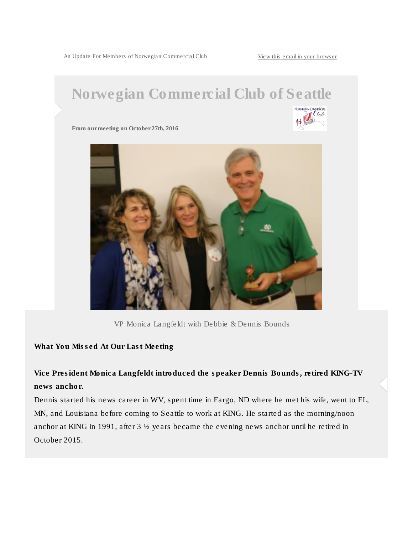An Update For Members of Norwegian Commercial Club [View this email in your browser](*|ARCHIVE|*)



VP Monica Langfeldt with Debbie & Dennis Bounds

What You Missed At Our Last Meeting

Vice President Monica Langfeldt introduced the speaker Dennis Bounds, retired KING-TV news anchor.

Dennis started his news career in WV, spent time in Fargo, ND where he met his wife, went to FL, MN, and Louisiana before coming to Seattle to work at KING. He started as the morning/noon anchor at KING in 1991, after 3 ½ years became the evening news anchor until he retired in October 2015.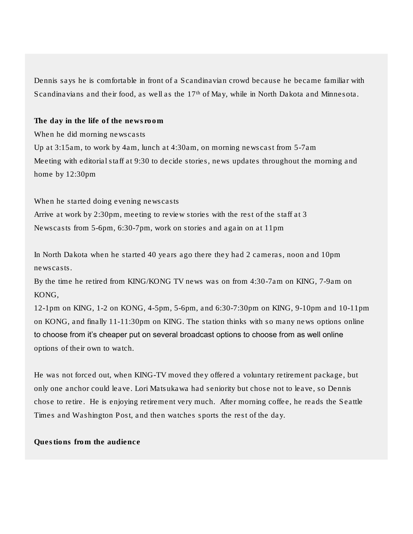Dennis says he is comfortable in front of a Scandinavian crowd because he became familiar with Scandinavians and their food, as well as the  $17<sup>th</sup>$  of May, while in North Dakota and Minnesota.

The day in the life of the newsroom When he did morning newscasts Up at 3:15am, to work by 4am, lunch at 4:30am, on morning newscast from 5-7am Meeting with editorial staff at 9:30 to decide stories, news updates throughout the morning and home by 12:30pm

When he started doing evening newscasts Arrive at work by 2:30pm, meeting to review stories with the rest of the staff at 3 Newscasts from 5-6pm, 6:30-7pm, work on stories and again on at 11pm

In North Dakota when he started 40 years ago there they had 2 cameras, noon and 10pm newscasts.

By the time he retired from KING/KONG TV news was on from 4:30-7am on KING, 7-9am on KONG,

12-1pm on KING, 1-2 on KONG, 4-5pm, 5-6pm, and 6:30-7:30pm on KING, 9-10pm and 10-11pm on KONG, and finally 11-11:30pm on KING. The station thinks with so many news options online to choose from it's cheaper put on several broadcast options to choose from as well online options of their own to watch.

He was not forced out, when KING-TV moved they offered a voluntary retirement package, but only one anchor could leave. Lori Matsukawa had seniority but chose not to leave, so Dennis chose to retire. He is enjoying retirement very much. After morning coffee, he reads the Seattle Times and Washington Post, and then watches sports the rest of the day.

Questions from the audience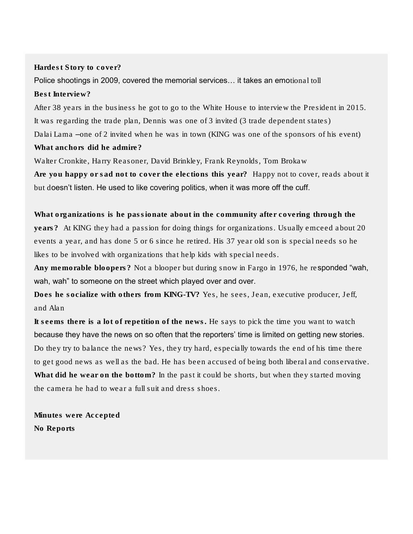## Hardest Story to cover?

Police shootings in 2009, covered the memorial services… it takes an emotional toll Best Interview?

After 38 years in the business he got to go to the White House to interview the President in 2015. It was regarding the trade plan, Dennis was one of 3 invited (3 trade dependent states) Dalai Lama –one of 2 invited when he was in town (KING was one of the sponsors of his event) What anchors did he admire?

Walter Cronkite, Harry Reasoner, David Brinkley, Frank Reynolds, Tom Brokaw Are you happy or sad not to cover the elections this year? Happy not to cover, reads about it but doesn't listen. He used to like covering politics, when it was more off the cuff.

What organizations is he passionate about in the community after covering through the years? At KING they had a passion for doing things for organizations. Usually emceed about 20 events a year, and has done 5 or 6 since he retired. His 37 year old son is special needs so he likes to be involved with organizations that help kids with special needs.

Any memorable bloopers? Not a blooper but during snow in Fargo in 1976, he responded "wah, wah, wah" to someone on the street which played over and over.

Does he socialize with others from KING-TV? Yes, he sees, Jean, executive producer, Jeff, and Alan

It seems there is a lot of repetition of the news. He says to pick the time you want to watch because they have the news on so often that the reporters' time is limited on getting new stories. Do they try to balance the news? Yes, they try hard, especially towards the end of his time there to get good news as well as the bad. He has been accused of being both liberal and conservative. What did he wear on the bottom? In the past it could be shorts, but when they started moving the camera he had to wear a full suit and dress shoes.

Minutes were Accepted No Reports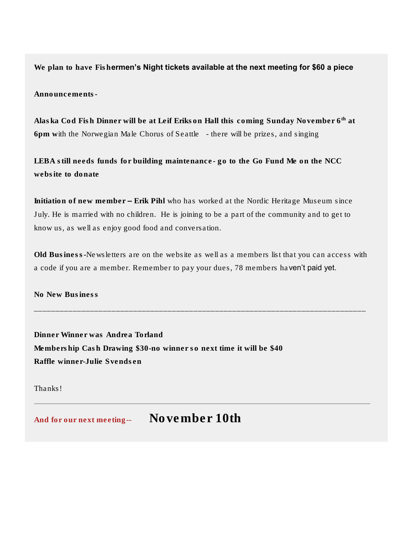We plan to have Fishermen's Night tickets available at the next meeting for \$60 a piece

Announcements-

Alaska Cod Fish Dinner will be at Leif Erikson Hall this coming Sunday November 6<sup>th</sup> at 6pm with the Norwegian Male Chorus of Seattle - there will be prizes, and singing

LEBA still needs funds for building maintenance- go to the Go Fund Me on the NCC website to donate

Initiation of new member – Erik Pihl who has worked at the Nordic Heritage Museum since July. He is married with no children. He is joining to be a part of the community and to get to know us, as well as enjoy good food and conversation.

Old Business-Newsletters are on the website as well as a members list that you can access with a code if you are a member. Remember to pay your dues, 78 members haven't paid yet.

\_\_\_\_\_\_\_\_\_\_\_\_\_\_\_\_\_\_\_\_\_\_\_\_\_\_\_\_\_\_\_\_\_\_\_\_\_\_\_\_\_\_\_\_\_\_\_\_\_\_\_\_\_\_\_\_\_\_\_\_\_\_\_\_\_\_\_\_\_\_\_\_\_\_\_\_\_

No New Business

Dinner Winner was Andrea Torland Membership Cash Drawing \$30-no winner so next time it will be \$40 Raffle winner-Julie Svendsen

Thanks!

And for our next meeting-- November 10th